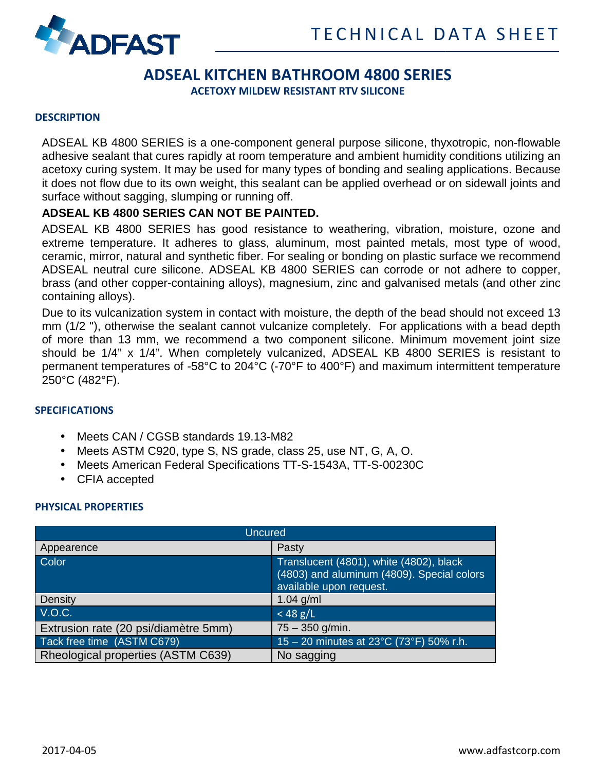

# **ADSEAL KITCHEN BATHROOM 4800 SERIES**

**ACETOXY MILDEW RESIS RESISTANT RTV SILICONE** 

#### **DESCRIPTION**

ADSEAL KB 4800 SERIES is a one-component general purpose silicone, thyxotropic, non-flowable adhesive sealant that cures rapidly at room temperature and ambient humidity conditions utilizing an adhesive sealant that cures rapidly at room temperature and ambient humidity conditions utilizing an<br>acetoxy curing system. It may be used for many types of bonding and sealing applications. Because it does not flow due to its own weight, this sealant can be applied overhead or on sidewall joints and surface without sagging, slumping or running off.

### **ADSEAL KB 4800 SERIES CAN NOT BE PAINTED. 0**

ADSEAL KB 4800 SERIES has good resistance to weathering, vibration, moisture, ozone and extreme temperature. It adheres to glass, aluminum, most painted metals, most type of wood, ceramic, mirror, natural and synthetic fiber. For sealing or bonding on plastic surface we recommend ADSEAL neutral cure silicone. ADSEAL KB 4800 SERIES can corrode or not adhere to copper, brass (and other copper-containing alloys), magnesium, zinc and galvanised metals (and other zinc containing alloys). AL KB 4800 SERIES has good resistance to weathering, vibration, moisture, ozone and<br>ne temperature. It adheres to glass, aluminum, most painted metals, most type of wood,<br>ic, mirror, natural and synthetic fiber. For sealin or many types of bonding and sealing applications. Because<br>s sealant can be applied overhead or on sidewall joints and<br>ning off.<br>**E PAINTED.**<br>resistance to weathering, vibration, moisture, ozone and<br>ss, aluminum, most pain

Due to its vulcanization system in contact with moisture, the depth of the bead should not exceed 13 brass (and other copper-containing alloys), magnesium, zinc and galvanised metals (and other zinc<br>containing alloys).<br>Due to its vulcanization system in contact with moisture, the depth of the bead should not exceed 13<br>mm of more than 13 mm, we recommend a two component silicone. Minimum movement joint should be 1/4" x 1/4". When completely vulcanized, ADSEAL KB 4800 SERIES is resistant to should be 1/4" x 1/4". When completely vulcanized, ADSEAL KB 4800 SERIES is resistant to<br>permanent temperatures of -58°C to 204°C (-70°F to 400°F) and maximum intermittent temperature 250°C (482°F).

#### **SPECIFICATIONS**

- Meets CAN / CGSB standards 19.13-M82
- Meets ASTM C920, type S, NS grade, class 25, use NT, G, A, O.
- Meets American Federal Specifications TT-S-1543A, TT-S-00230C
- CFIA accepted

### **PHYSICAL PROPERTIES**

| <b>Uncured</b>                       |                                                                                                                  |
|--------------------------------------|------------------------------------------------------------------------------------------------------------------|
| Appearence                           | Pasty                                                                                                            |
| Color                                | Translucent (4801), white (4802), black<br>(4803) and aluminum (4809). Special colors<br>available upon request. |
| Density                              | $1.04$ g/ml                                                                                                      |
| V.O.C.                               | $<$ 48 g/L                                                                                                       |
| Extrusion rate (20 psi/diamètre 5mm) | $75 - 350$ g/min.                                                                                                |
| Tack free time (ASTM C679)           | 15 - 20 minutes at 23°C (73°F) 50% r.h.                                                                          |
| Rheological properties (ASTM C639)   | No sagging                                                                                                       |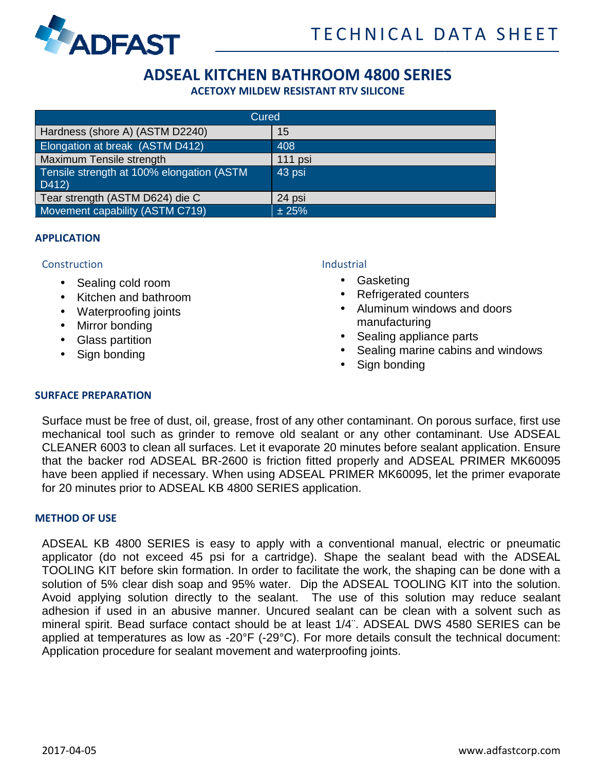

## **ADSEAL KITCHEN BATHROOM 4800 SERIES**

**ACETOXY MILDEW RESIS RESISTANT RTV SILICONE** 

| Cured                                              |         |
|----------------------------------------------------|---------|
| Hardness (shore A) (ASTM D2240)                    | 15      |
| Elongation at break (ASTM D412)                    | 408     |
| Maximum Tensile strength                           | 111 psi |
| Tensile strength at 100% elongation (ASTM<br>D412) | 43 psi  |
| Tear strength (ASTM D624) die C                    | 24 psi  |
| Movement capability (ASTM C719)                    | ± 25%   |

#### **APPLICATION**

#### **Construction**

- Sealing cold room
- Kitchen and bathroom
- Waterproofing joints
- Mirror bonding
- Glass partition
- Sign bonding

#### **Industrial**

- Gasketing
- Refrigerated counters
- Aluminum windows and doors manufacturing
- Sealing appliance parts
- Sealing marine cabins and windows
- Sign bonding

#### **SURFACE PREPARATION**

Surface must be free of dust, oil, grease, frost of any other contaminant. On porous surface, first use mechanical tool such as grinder to remove old sealant or any other contaminant. Use CLEANER 6003 to clean all surfaces. Let it evaporate 20 minutes before sealant application. Ensure CLEANER 6003 to clean all surfaces. Let it evaporate 20 minutes before sealant application. Ensure<br>that the backer rod ADSEAL BR-2600 is friction fitted properly and ADSEAL PRIMER MK60095 have been applied if necessary. When using ADSEAL PRIMER MK60095, let the primer evaporate for 20 minutes prior to ADSEAL KB 4800 SERIES application. • Aluminum windows and doors<br>
manufacturing<br>
• Sealing appliance parts<br>
• Sealing marine cabins and windows<br>
• Sign bonding<br>
other contaminant. On porous surface, first use<br>
alant or any other contaminant. Use ADSEAL

#### **METHOD OF USE**

ADSEAL KB 4800 SERIES is easy to apply with a conventional manual, electric or pneumatic applicator (do not exceed 45 psi for a cartridge). Shape the sealant bead with the ADSEAL TOOLING KIT before skin formation. In order to facilitate the work, the shaping can be done with a solution of 5% clear dish soap and 95% water. Dip the ADSEAL TOOLING KIT into the solution. Avoid applying solution directly to the sealant. The use of this solution may reduce sealant adhesion if used in an abusive manner. Uncured sealant can be clean with a solvent such as mineral spirit. Bead surface contact should be at least  $1/4$ ". ADSEAL DWS 4580 SERIES can be applied at temperatures as low as -20°F (-29°C). For more details consult the Application procedure for sealant movement and waterproofing joints. Avoid applying solution directly to the sealant. The use of this solution may reduce sealant<br>adhesion if used in an abusive manner. Uncured sealant can be clean with a solvent such as<br>mineral spirit. Bead surface contact s to facilitate the work, the shaping can be done with a<br>ir. Dip the ADSEAL TOOLING KIT into the solution.<br>ant. The use of this solution may reduce sealant<br>cured sealant can be clean with a solvent such as<br>a at least 1/4". A